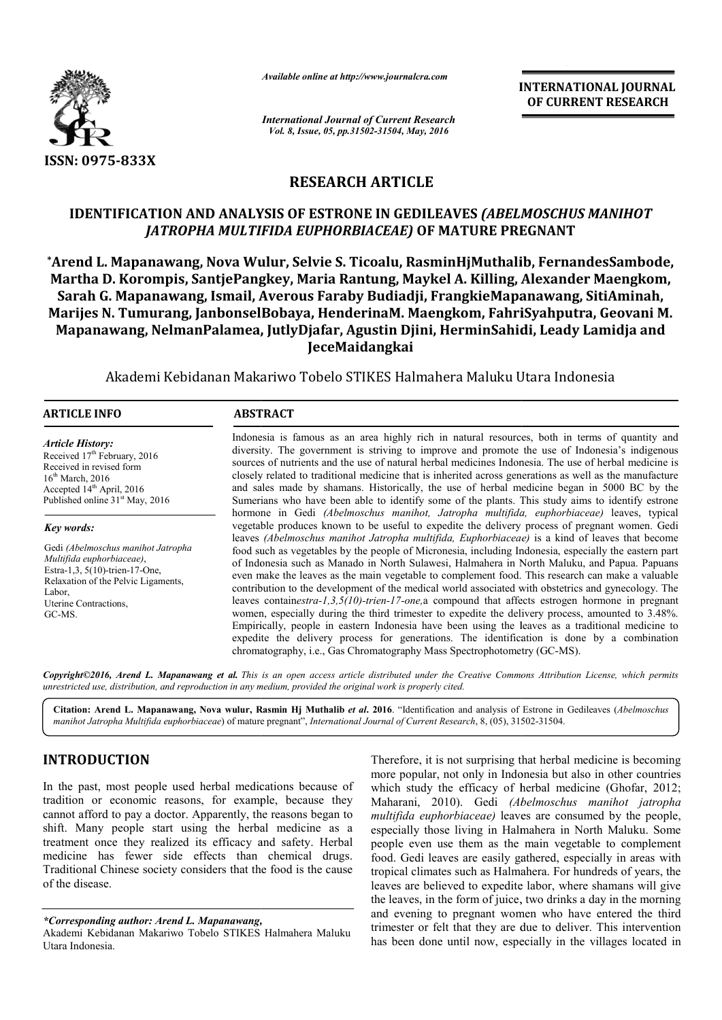

*Available online at http://www.journalcra.com*

*International Journal of Current Research Vol. 8, Issue, 05, pp.31502-31504, May, 2016*

**INTERNATIONAL JOURNAL OF CURRENT RESEARCH** 

# **RESEARCH ARTICLE**

## **IDENTIFICATION AND ANALYSIS OF ESTRONE IN GEDILEAVES**  *(ABELMOSCHUS MANIHOT JATROPHA MULTIFIDA EUPHORBIACEAE)* **OF MATURE PREGNANT PREGNANT**

**\*Arend L. Mapanawang, Nova Wulur, ulur, Selvie S. Ticoalu, RasminHjMuthalib, FernandesSambode, Martha D. Korompis, SantjePangkey, Maria Rantung, Ma Maykel A. Killing, Alexander Maengkom, Alexander Maengkom, Sarah G. Mapanawang, Ismail, Averous Faraby Budiadji, FrangkieMapanawang, , SitiAminah, Marijes N. Tumurang, JanbonselBobaya, Henderina ng, HenderinaM. Maengkom, FahriSya FahriSyahputra, Geovani M. Mapanawang, NelmanPalamea, JutlyDjafar, Agustin Dji Djini, HerminSahidi, Leady Lamidja and ni, JeceMaidangkai**

Akademi Kebidanan Makariwo Tobelo STIKES Halmahera Maluku Utara Indonesia

 $\overline{a}$ 

#### **ARTICLE INFO ABSTRACT**

*Article History:* Received 17<sup>th</sup> February, 2016 Received in revised form 16<sup>th</sup> March, 2016 Accepted  $14<sup>th</sup>$  April, 2016

Published online  $31<sup>st</sup>$  May, 2016

*Key words:*

Gedi *(Abelmoschus manihot Jatropha Multifida euphorbiaceae)*, Estra-1,3, 5(10)-trien-17-One, Relaxation of the Pelvic Ligaments, Labor, Uterine Contractions, GC-MS.

Indonesia is famous as an area highly rich in natural resources, both in terms of quantity and diversity. The government is striving to improve and promote the use of Indonesia's indigenous sources of nutrients and the use of natural herbal medicines Indonesia. The use of herbal medicine is closely related to traditional medicine that is inherited across generations as well as the manufacture and sales made by shamans. Historically, the use of herbal medicine began in 5000 BC by the Sumerians who have been able to identify some of the plants. This study aims to identify estrone hormone in Gedi *(Abelmoschus manihot, Jatropha multifida multifida, euphorbiaceae)* leaves, typical vegetable produces known to be useful to expedite the delivery process of pregnant women. Gedi leaves (Abelmoschus manihot Jatropha multifida, Euphorbiaceae) is a kind of leaves that become food such as vegetables by the people of Micronesia, including Indonesia, especially the eastern part of Indonesia such as Manado in North Sulawesi, Halmahera in North Maluku, and Papua. Papuans even make the leaves as the main vegetable to complement food. This research can make a valuable contribution to the development of the medical world associated with obstetrics and gynecology. The leaves contain *estra-1,3,5(10)-trien-17-one,*a compound that affects estrog women, especially during the third trimester to expedite the delivery process, amounted to 3.48%. Empirically, people in eastern Indonesia have been using the leaves as a traditional medicine to expedite the delivery process for generations. The identification is done by a combination chromatography, i.e., Gas Chromatography Mass Spectrophotometry (GC Indonesia is famous as an area highly rich in natural resources, both in terms of quantity and diversity. The government is striving to improve and promote the use of Indonesia's indigenous sources of nutrients and the use food such as vegetables by the people of Micronesia, including Indonesia, especially the eastern part of Indonesia such as Manado in North Sulawesi, Halmahera in North Maluku, and Papua. Papuans even make the leaves as the women, especially during the third trimester to expedite the delivery process, amounted to Empirically, people in eastern Indonesia have been using the leaves as a traditional mediexpedite the delivery process for generati INTERNATIONAL JOURNAL<br>
Treat Research<br>
OF CURRENT RESEARCH<br>
OF CURRENT RESEARCH<br>
OF CURRENT RESEARCH<br>
TICLE<br>
GEDILEAVES (ABELMOSCHUS MANIHOT<br>
III) OF MATURE PREGNANT<br>
U, RasminiHjMuthalib, FernandesSambode,<br>
2, Maykel A.

*Copyright©2016, Arend L. Mapanawang et al. This is an open access article distributed under the Creative Commons Att is open access the Attribution License, which permits unrestricted use, distribution, and reproduction in any medium, provided the original work is properly cited.*

Citation: Arend L. Mapanawang, Nova wulur, Rasmin Hj Muthalib *et al.* 2016. "Identification and analysis of Estrone in Gedileaves (*Abelmoschus manihot Jatropha Multifida euphorbiaceae*) of mature pregnant", *International Journal of Current Research*, 8, (05), 31502 31502-31504.

# **INTRODUCTION**

In the past, most people used herbal medications because of tradition or economic reasons, for example, because they cannot afford to pay a doctor. Apparently, the reasons began to shift. Many people start using the herbal medicine as a treatment once they realized its efficacy and safety. Herbal medicine has fewer side effects than chemical drugs. Traditional Chinese society considers that the food is the cause of the disease.

*\*Corresponding author: Arend L. Mapanawang,*

Therefore, it is not surprising that herbal medicine is becoming<br>more popular, not only in Indonesia but also in other countries<br>waters which study the efficacy of herbal medicine (Ghofar, 2012;<br>ple, because they<br>Maharani, more popular, not only in Indonesia but also in other countries which study the efficacy of herbal medicine (Ghofar, 2012; Maharani, 2010). Gedi *(Abelmoschus manihot jatropha multifida euphorbiaceae)* leaves are consumed by the people, especially those living in Halmahera in North Maluku. Some people even use them as the main vegetable to complement food. Gedi leaves are easily gathered, especially in areas with food. Gedi leaves are easily gathered, especially in areas with tropical climates such as Halmahera. For hundreds of years, the leaves are believed to expedite labor, where shamans will give the leaves, in the form of juice, two drinks a day in the morning and evening to pregnant women who have entered the third trimester or felt that they are due to deliver. This intervention has been done until now, especially in the villages located in Therefore, it is not surprising that herbal medicine is becoming more popular, not only in Indonesia but also in other countries which study the efficacy of herbal medicine (Ghofar, 2012; leaves are believed to expedite labor, where shamans will give the leaves, in the form of juice, two drinks a day in the morning and evening to pregnant women who have entered the third trimester or felt that they are due

Akademi Kebidanan Makariwo Tobelo STIKES Halmahera Maluku Utara Indonesia.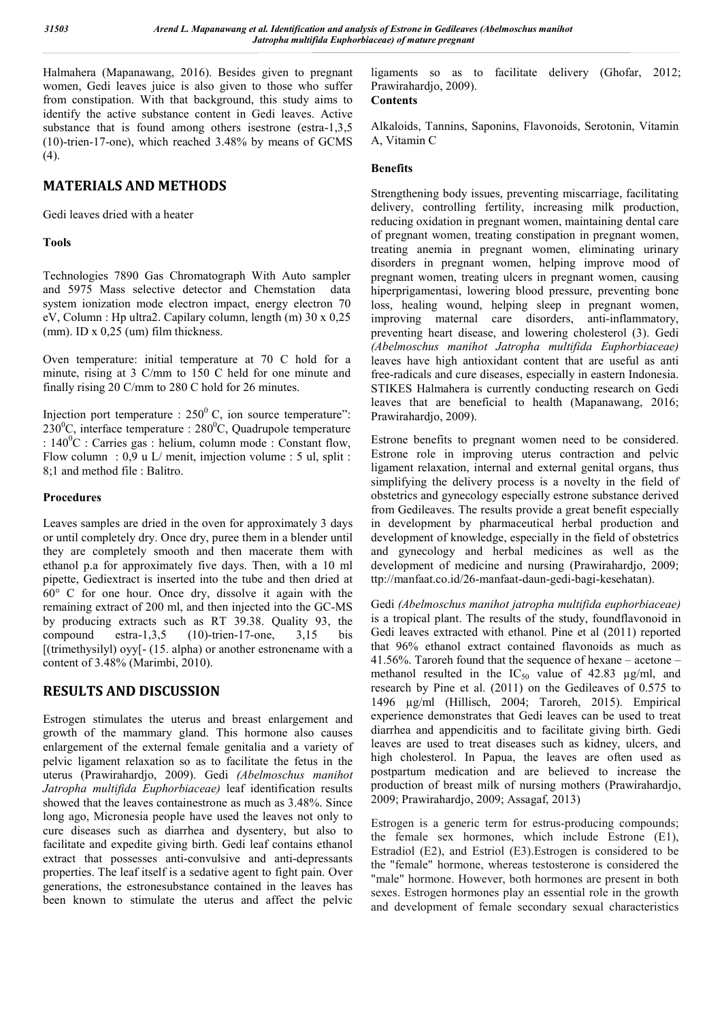Halmahera (Mapanawang, 2016). Besides given to pregnant women, Gedi leaves juice is also given to those who suffer from constipation. With that background, this study aims to identify the active substance content in Gedi leaves. Active substance that is found among others isestrone (estra-1,3,5 (10)-trien-17-one), which reached 3.48% by means of GCMS  $(4)$ .

# **MATERIALS AND METHODS**

Gedi leaves dried with a heater

## **Tools**

Technologies 7890 Gas Chromatograph With Auto sampler and 5975 Mass selective detector and Chemstation data system ionization mode electron impact, energy electron 70 eV, Column : Hp ultra2. Capilary column, length (m) 30 x 0,25 (mm). ID x 0,25 (um) film thickness.

Oven temperature: initial temperature at 70 C hold for a minute, rising at 3 C/mm to 150 C held for one minute and finally rising 20 C/mm to 280 C hold for 26 minutes.

Injection port temperature :  $250^{\circ}$  C, ion source temperature":  $230^0$ C, interface temperature :  $280^0$ C, Quadrupole temperature :  $140^{\circ}$ C : Carries gas : helium, column mode : Constant flow, Flow column :  $0.9$  u L/ menit, imjection volume : 5 ul, split : 8;1 and method file : Balitro.

## **Procedures**

Leaves samples are dried in the oven for approximately 3 days or until completely dry. Once dry, puree them in a blender until they are completely smooth and then macerate them with ethanol p.a for approximately five days. Then, with a 10 ml pipette, Gediextract is inserted into the tube and then dried at 60° C for one hour. Once dry, dissolve it again with the remaining extract of 200 ml, and then injected into the GC-MS by producing extracts such as RT 39.38. Quality 93, the compound estra-1,3,5 (10)-trien-17-one,  $3,15$  bis [(trimethysilyl) oyy[- (15. alpha) or another estronename with a content of 3.48% (Marimbi, 2010).

## **RESULTS AND DISCUSSION**

Estrogen stimulates the uterus and breast enlargement and growth of the mammary gland. This hormone also causes enlargement of the external female genitalia and a variety of pelvic ligament relaxation so as to facilitate the fetus in the uterus (Prawirahardjo, 2009). Gedi *(Abelmoschus manihot Jatropha multifida Euphorbiaceae)* leaf identification results showed that the leaves containestrone as much as 3.48%. Since long ago, Micronesia people have used the leaves not only to cure diseases such as diarrhea and dysentery, but also to facilitate and expedite giving birth. Gedi leaf contains ethanol extract that possesses anti-convulsive and anti-depressants properties. The leaf itself is a sedative agent to fight pain. Over generations, the estronesubstance contained in the leaves has been known to stimulate the uterus and affect the pelvic

ligaments so as to facilitate delivery (Ghofar, 2012; Prawirahardjo, 2009). **Contents**

Alkaloids, Tannins, Saponins, Flavonoids, Serotonin, Vitamin A, Vitamin C

## **Benefits**

Strengthening body issues, preventing miscarriage, facilitating delivery, controlling fertility, increasing milk production, reducing oxidation in pregnant women, maintaining dental care of pregnant women, treating constipation in pregnant women, treating anemia in pregnant women, eliminating urinary disorders in pregnant women, helping improve mood of pregnant women, treating ulcers in pregnant women, causing hiperprigamentasi, lowering blood pressure, preventing bone loss, healing wound, helping sleep in pregnant women, improving maternal care disorders, anti-inflammatory, preventing heart disease, and lowering cholesterol (3). Gedi *(Abelmoschus manihot Jatropha multifida Euphorbiaceae)* leaves have high antioxidant content that are useful as anti free-radicals and cure diseases, especially in eastern Indonesia. STIKES Halmahera is currently conducting research on Gedi leaves that are beneficial to health (Mapanawang, 2016; Prawirahardjo, 2009).

Estrone benefits to pregnant women need to be considered. Estrone role in improving uterus contraction and pelvic ligament relaxation, internal and external genital organs, thus simplifying the delivery process is a novelty in the field of obstetrics and gynecology especially estrone substance derived from Gedileaves. The results provide a great benefit especially in development by pharmaceutical herbal production and development of knowledge, especially in the field of obstetrics and gynecology and herbal medicines as well as the development of medicine and nursing (Prawirahardjo, 2009; ttp://manfaat.co.id/26-manfaat-daun-gedi-bagi-kesehatan).

Gedi *(Abelmoschus manihot jatropha multifida euphorbiaceae)* is a tropical plant. The results of the study, foundflavonoid in Gedi leaves extracted with ethanol. Pine et al (2011) reported that 96% ethanol extract contained flavonoids as much as 41.56%. Taroreh found that the sequence of hexane – acetone – methanol resulted in the  $IC_{50}$  value of 42.83  $\mu$ g/ml, and research by Pine et al. (2011) on the Gedileaves of 0.575 to 1496 µg/ml (Hillisch, 2004; Taroreh, 2015). Empirical experience demonstrates that Gedi leaves can be used to treat diarrhea and appendicitis and to facilitate giving birth. Gedi leaves are used to treat diseases such as kidney, ulcers, and high cholesterol. In Papua, the leaves are often used as postpartum medication and are believed to increase the production of breast milk of nursing mothers (Prawirahardjo, 2009; Prawirahardjo, 2009; Assagaf, 2013)

Estrogen is a generic term for estrus-producing compounds; the female sex hormones, which include Estrone (E1), Estradiol (E2), and Estriol (E3).Estrogen is considered to be the "female" hormone, whereas testosterone is considered the "male" hormone. However, both hormones are present in both sexes. Estrogen hormones play an essential role in the growth and development of female secondary sexual characteristics